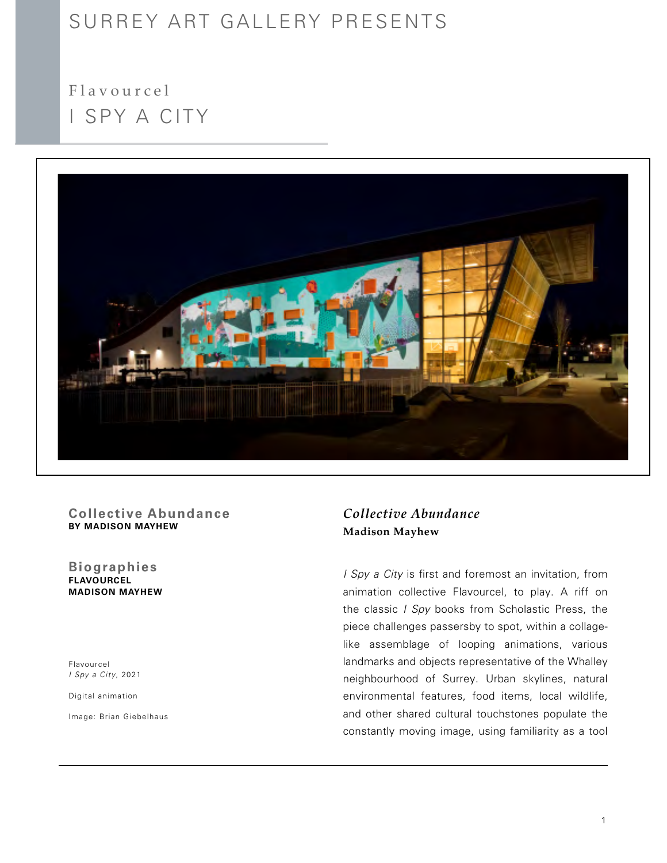# SURREY ART GALLERY PRESENTS

# I SPY A CITY Flavourcel



## **Collective Abundance BY MADISON MAYHEW**

**FLAVOURCEL MADISON MAYHEW Biographies**

Flavourcel *I Spy a City*, 2021

Digital animation

Image: Brian Giebelhaus

# *Collective Abundance* **Madison Mayhew**

*I Spy a City* is first and foremost an invitation, from animation collective Flavourcel, to play. A riff on the classic *I Spy* books from Scholastic Press, the piece challenges passersby to spot, within a collagelike assemblage of looping animations, various landmarks and objects representative of the Whalley neighbourhood of Surrey. Urban skylines, natural environmental features, food items, local wildlife, and other shared cultural touchstones populate the constantly moving image, using familiarity as a tool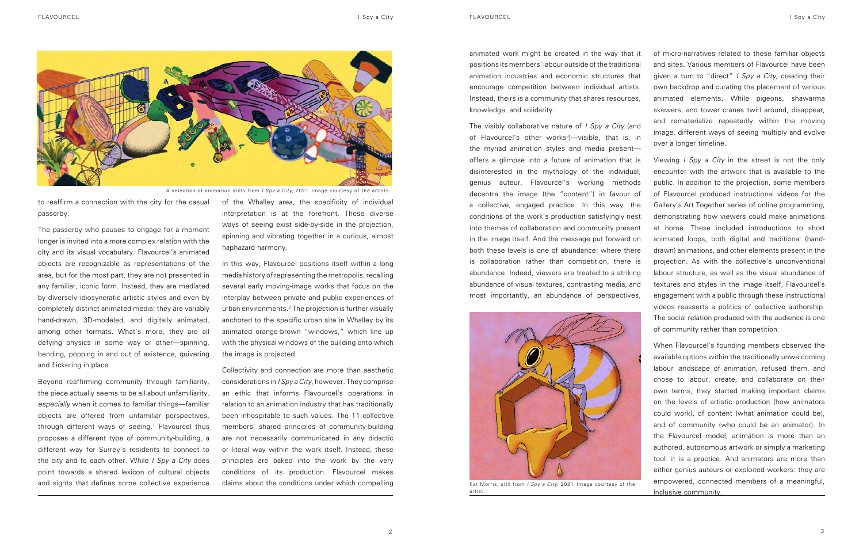FLAVOURCEL I Spy a City I Spy a City I Spy a City I Spy a City I Spy a City I Spy a City I Spy a City I Spy a City

to reaffirm a connection with the city for the casual passerby.

The passerby who pauses to engage for a moment longer is invited into a more complex relation with the city and its visual vocabulary. Flavourcel's animated objects are recognizable as representations of the area, but for the most part, they are not presented in any familiar, iconic form. Instead, they are mediated by diversely idiosyncratic artistic styles and even by completely distinct animated media: they are variably hand-drawn, 3D-modeled, and digitally animated, among other formats. What's more, they are all defying physics in some way or other—spinning, bending, popping in and out of existence, quivering and flickering in place.

Beyond reaffirming community through familiarity, the piece actually seems to be all about unfamiliarity, *especially* when it comes to familiar things—familiar objects are offered from unfamiliar perspectives, through different ways of seeing.<sup>1</sup> Flavourcel thus proposes a different type of community-building, a different way for Surrey's residents to connect to the city and to each other. While *I Spy a City* does point towards a shared lexicon of cultural objects and sights that defines some collective experience of the Whalley area, the specificity of individual interpretation is at the forefront. These diverse ways of seeing exist side-by-side in the projection, spinning and vibrating together in a curious, almost haphazard harmony.

In this way, Flavourcel positions itself within a long media history of representing the metropolis, recalling several early moving-image works that focus on the interplay between private and public experiences of urban environments.2 The projection is further visually anchored to the specific urban site in Whalley by its animated orange-brown "windows," which line up with the physical windows of the building onto which the image is projected.

Collectivity and connection are more than aesthetic considerations in *I Spy a City*, however. They comprise an ethic that informs Flavourcel's operations in relation to an animation industry that has traditionally been inhospitable to such values. The 11 collective members' shared principles of community-building are not necessarily communicated in any didactic or literal way within the work itself. Instead, these principles are baked into the work by the very conditions of its production. Flavourcel makes claims about the conditions under which compelling of Flavourcel's other works<sup>3</sup>)—visible, that is, in the myriad animation styles and media present offers a glimpse into a future of animation that is disinterested in the mythology of the individual, genius auteur. Flavourcel's working methods decentre the image (the "content") in favour of a collective, engaged practice. In this way, the conditions of the work's production satisfyingly nest into themes of collaboration and community present in the image itself. And the message put forward on both these levels is one of abundance: where there is collaboration rather than competition, there is abundance. Indeed, viewers are treated to a striking abundance of visual textures, contrasting media, and most importantly, an abundance of perspectives, image, different ways of seeing multiply and evolve Viewing *I Spy a City* in the street is not the only encounter with the artwork that is available to the public. In addition to the projection, some members of Flavourcel produced instructional videos for the Gallery's Art Together series of online programming, demonstrating how viewers could make animations at home. These included introductions to short animated loops, both digital and traditional (handdrawn) animations, and other elements present in the projection. As with the collective's unconventional labour structure, as well as the visual abundance of textures and styles in the image itself, Flavourcel's engagement with a public through these instructional videos reasserts a politics of collective authorship. The social relation produced with the audience is one of community rather than competition.

animated work might be created in the way that it positions its members' labour outside of the traditional animation industries and economic structures that encourage competition between individual artists. Instead, theirs is a community that shares resources, knowledge, and solidarity. The visibly collaborative nature of *I Spy a City* (and of micro-narratives related to these familiar objects and sites. Various members of Flavourcel have been given a turn to "direct" *I Spy a City*, creating their own backdrop and curating the placement of various animated elements. While pigeons, shawarma skewers, and tower cranes twirl around, disappear, and rematerialize repeatedly within the moving over a longer timeline.

> When Flavourcel's founding members observed the available options within the traditionally unwelcoming labour landscape of animation, refused them, and chose to labour, create, and collaborate on their own terms, they started making important claims on the levels of artistic production (how animators could work), of content (what animation could be), and of community (who could be an animator). In the Flavourcel model, animation is more than an authored, autonomous artwork or simply a marketing tool: it is a practice. And animators are more than either genius auteurs or exploited workers: they are empowered, connected members of a meaningful, inclusive community.



A selection of animation stills from *I Spy a City,* 2021. Image courtesy of the artists.



Kat Morris, still from *I Spy a City,* 2021. Image courtesy of the artist.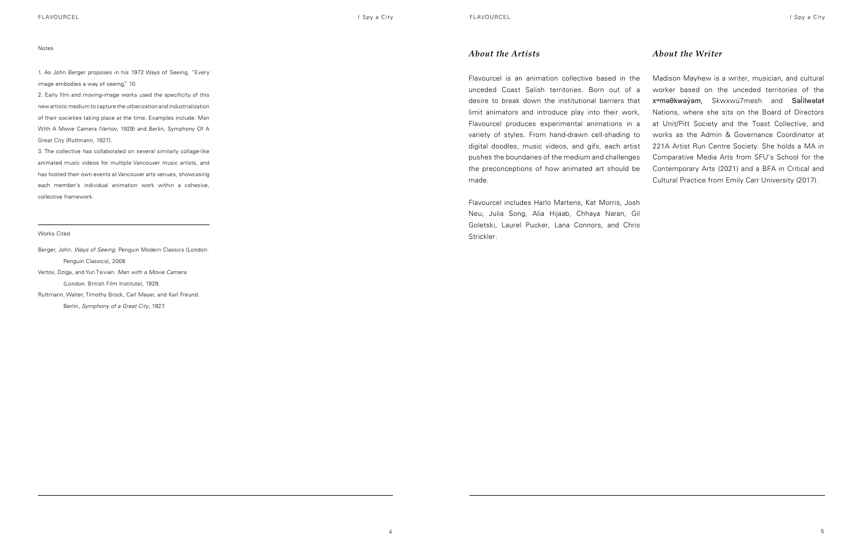## *About the Artists*

Flavourcel includes Harlo Martens, Kat Morris, Josh Neu, Julia Song, Alia Hijaab, Chhaya Naran, Gil Goletski, Laurel Pucker, Lana Connors, and Chris Strickler.

Flavourcel is an animation collective based in the unceded Coast Salish territories. Born out of a desire to break down the institutional barriers that limit animators and introduce play into their work, Flavourcel produces experimental animations in a variety of styles. From hand-drawn cell-shading to digital doodles, music videos, and gifs, each artist pushes the boundaries of the medium and challenges the preconceptions of how animated art should be made. Madison Mayhew is a writer, musician, and cultural worker based on the unceded territories of the **x<sup>w</sup>məθkwəỷəm**, Skwxwú7mesh and Səl**ílwəta<del>l</del>** Nations, where she sits on the Board of Directors at Unit/Pitt Society and the Toast Collective, and works as the Admin & Governance Coordinator at 221A Artist Run Centre Society. She holds a MA in Comparative Media Arts from SFU's School for the Contemporary Arts (2021) and a BFA in Critical and Cultural Practice from Emily Carr University (2017).

# *About the Writer*

Notes

FLAVOURCEL I Spy a City I Spy a City I Spy a City I Spy a City I Spy a City I Spy a City I Spy a City I Spy a City

1. As John Berger proposes in his 1972 Ways of Seeing, "Every image embodies a way of seeing," 10.

2. Early film and moving-image works used the specificity of this new artistic medium to capture the urbanization and industrialization of their societies taking place at the time. Examples include: Man With A Movie Camera (Vertov, 1929) and Berlin, Symphony Of A Great City (Ruttmann, 1927).

3. The collective has collaborated on several similarly collage-like animated music videos for multiple Vancouver music artists, and has hosted their own events at Vancouver arts venues, showcasing each member's individual animation work within a cohesive, collective framework.

### Works Cited

Berger, John. *Ways of Seeing*. Penguin Modern Classics (London: Penguin Classics), 2008 Vertov, Dziga, and Yuri Tsivian. *Man with a Movie Camera*  (London: British Film Institute), 1929. Ruttmann, Walter, Timothy Brock, Carl Mayer, and Karl Freund. Berlin, *Symphony of a Great City*, 1927.